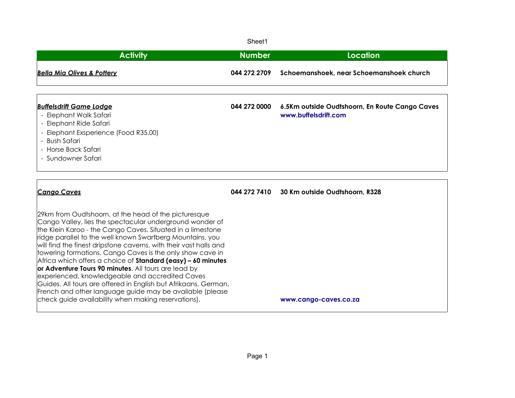Sheet1

| <b>Activity</b>                                                                                                                                                                                                                                                                                                                                                                                                                                                                                                                                                                                                                                                                                                                                       | <b>Number</b> | Location                                                               |
|-------------------------------------------------------------------------------------------------------------------------------------------------------------------------------------------------------------------------------------------------------------------------------------------------------------------------------------------------------------------------------------------------------------------------------------------------------------------------------------------------------------------------------------------------------------------------------------------------------------------------------------------------------------------------------------------------------------------------------------------------------|---------------|------------------------------------------------------------------------|
| <b>Bella Mia Olives &amp; Pottery</b>                                                                                                                                                                                                                                                                                                                                                                                                                                                                                                                                                                                                                                                                                                                 | 044 272 2709  | Schoemanshoek, near Schoemanshoek church                               |
| <b>Buffelsdrift Game Lodge</b><br>- Elephant Walk Safari<br>- Elephant Ride Safari<br>- Elephant Exsperience (Food R35.00)<br>- Bush Safari<br>- Horse Back Safari<br>- Sundowner Safari                                                                                                                                                                                                                                                                                                                                                                                                                                                                                                                                                              | 044 272 0000  | 6.5Km outside Oudtshoorn, En Route Cango Caves<br>www.buffelsdrift.com |
| <b>Cango Caves</b>                                                                                                                                                                                                                                                                                                                                                                                                                                                                                                                                                                                                                                                                                                                                    |               | 044 272 7410 30 Km outside Oudtshoorn, R328                            |
| 29km from Oudtshoorn, at the head of the picturesque<br>Cango Valley, lies the spectacular underground wonder of<br>the Klein Karoo - the Cango Caves. Situated in a limestone<br>ridge parallel to the well known Swartberg Mountains, you<br>will find the finest dripstone caverns, with their vast halls and<br>towering formations. Cango Caves is the only show cave in<br>Africa which offers a choice of <b>Standard (easy) - 60 minutes</b><br>or Adventure Tours 90 minutes. All tours are lead by<br>experienced, knowledgeable and accredited Caves<br>Guides. All tours are offered in English but Afrikaans, German,<br>French and other language guide may be available (please<br>check guide availability when making reservations). |               | www.cango-caves.co.za                                                  |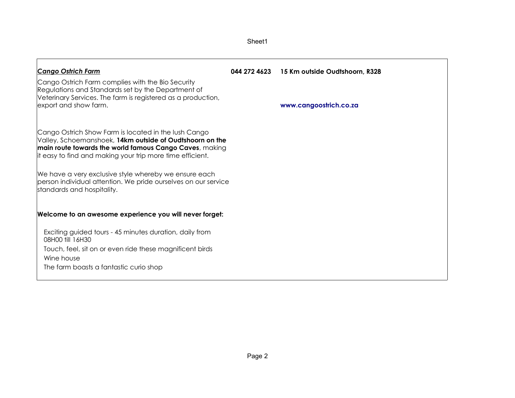|                                                                                                                                                                                                                                          | Sheet1 |                                             |
|------------------------------------------------------------------------------------------------------------------------------------------------------------------------------------------------------------------------------------------|--------|---------------------------------------------|
| <b>Cango Ostrich Farm</b>                                                                                                                                                                                                                |        | 044 272 4623 15 Km outside Oudtshoorn, R328 |
| Cango Ostrich Farm complies with the Bio Security<br>Regulations and Standards set by the Department of<br>Veterinary Services. The farm is registered as a production,<br>export and show farm.                                         |        | www.cangoostrich.co.za                      |
| Cango Ostrich Show Farm is located in the lush Cango<br>Valley, Schoemanshoek, 14km outside of Oudtshoorn on the<br>main route towards the world famous Cango Caves, making<br>it easy to find and making your trip more time efficient. |        |                                             |
| We have a very exclusive style whereby we ensure each<br>person individual attention. We pride ourselves on our service<br>standards and hospitality.                                                                                    |        |                                             |
| Welcome to an awesome experience you will never forget:                                                                                                                                                                                  |        |                                             |
| Exciting guided tours - 45 minutes duration, daily from<br>08H00 fill 16H30                                                                                                                                                              |        |                                             |
| Touch, feel, sit on or even ride these magnificent birds<br>Wine house                                                                                                                                                                   |        |                                             |
| The farm boasts a fantastic curio shop                                                                                                                                                                                                   |        |                                             |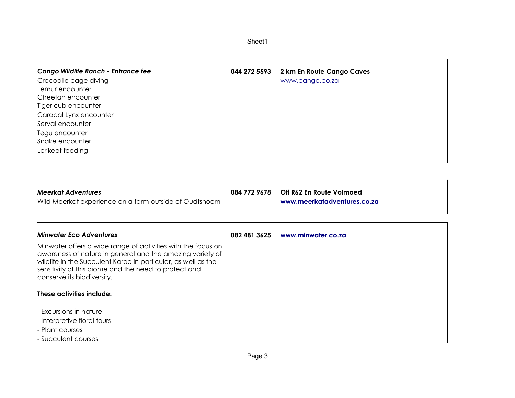| Sheet1 |
|--------|
|--------|

 $\Gamma$ 

| <b>Cango Wildlife Ranch - Entrance fee</b><br>Crocodile cage diving<br>Lemur encounter<br>Cheetah encounter<br>Tiger cub encounter<br>Caracal Lynx encounter<br>Serval encounter<br>Tegu encounter<br>Snake encounter<br>Lorikeet feeding                                                                                                                                                                                                       |              | 044 272 5593 2 km En Route Cango Caves<br>www.cango.co.za              |
|-------------------------------------------------------------------------------------------------------------------------------------------------------------------------------------------------------------------------------------------------------------------------------------------------------------------------------------------------------------------------------------------------------------------------------------------------|--------------|------------------------------------------------------------------------|
| <b>Meerkat Adventures</b><br>Wild Meerkat experience on a farm outside of Oudtshoorn                                                                                                                                                                                                                                                                                                                                                            |              | 084 772 9678   Off R62 En Route Volmoed<br>www.meerkatadventures.co.za |
| <b>Minwater Eco Adventures</b><br>Minwater offers a wide range of activities with the focus on<br>awareness of nature in general and the amazing variety of<br>wildlife in the Succulent Karoo in particular, as well as the<br>sensitivity of this biome and the need to protect and<br>conserve its biodiversity.<br>These activities include:<br>Excursions in nature<br>- Interpretive floral tours<br>- Plant courses<br>Succulent courses | 082 481 3625 | www.minwater.co.za                                                     |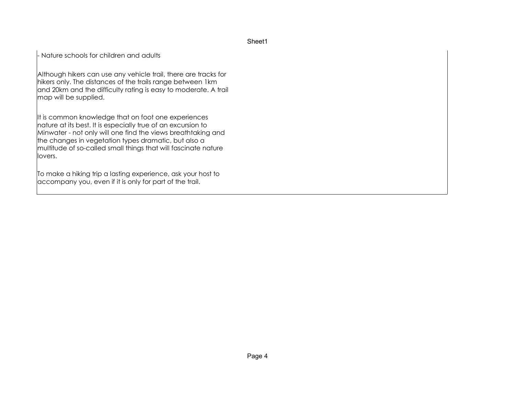## Sheet1

- Nature schools for children and adults

Although hikers can use any vehicle trail, there are tracks for hikers only. The distances of the trails range between 1km and 20km and the difficulty rating is easy to moderate. A trail map will be supplied.

It is common knowledge that on foot one experiences nature at its best. It is especially true of an excursion to Minwater - not only will one find the views breathtaking and the changes in vegetation types dramatic, but also a multitude of so-called small things that will fascinate nature llovers.

To make a hiking trip a lasting experience, ask your host to accompany you, even if it is only for part of the trail.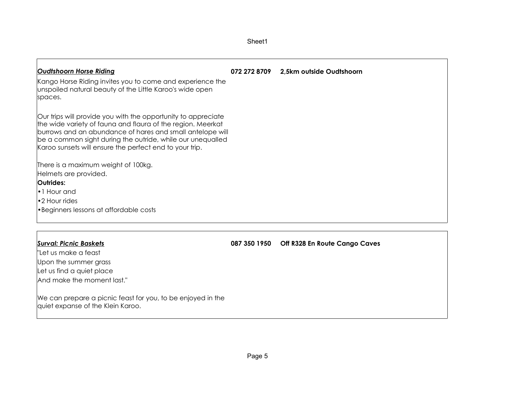| <b>Oudtshoorn Horse Riding</b>                                                                                                                                                                                                                                                                                     | 072 272 8709 | 2,5km outside Oudtshoorn                   |
|--------------------------------------------------------------------------------------------------------------------------------------------------------------------------------------------------------------------------------------------------------------------------------------------------------------------|--------------|--------------------------------------------|
| Kango Horse Riding invites you to come and experience the<br>unspoiled natural beauty of the Little Karoo's wide open<br>spaces.                                                                                                                                                                                   |              |                                            |
| Our trips will provide you with the opportunity to appreciate<br>the wide variety of fauna and flaura of the region. Meerkat<br>burrows and an abundance of hares and small antelope will<br>be a common sight during the outride, while our unequalled<br>Karoo sunsets will ensure the perfect end to your trip. |              |                                            |
| There is a maximum weight of 100kg.                                                                                                                                                                                                                                                                                |              |                                            |
| Helmets are provided.                                                                                                                                                                                                                                                                                              |              |                                            |
| Outrides:                                                                                                                                                                                                                                                                                                          |              |                                            |
| •1 Hour and                                                                                                                                                                                                                                                                                                        |              |                                            |
| •2 Hour rides                                                                                                                                                                                                                                                                                                      |              |                                            |
| • Beginners lessons at affordable costs                                                                                                                                                                                                                                                                            |              |                                            |
|                                                                                                                                                                                                                                                                                                                    |              |                                            |
| <b>Surval: Picnic Baskets</b>                                                                                                                                                                                                                                                                                      |              | 087 350 1950 Off R328 En Route Cango Caves |
| "Let us make a feast                                                                                                                                                                                                                                                                                               |              |                                            |
| Upon the summer grass                                                                                                                                                                                                                                                                                              |              |                                            |
| Let us find a quiet place                                                                                                                                                                                                                                                                                          |              |                                            |

Sheet1

We can prepare a picnic feast for you, to be enjoyed in the quiet expanse of the Klein Karoo.

And make the moment last."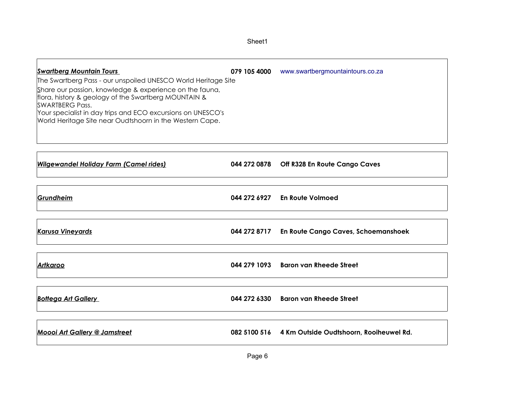٦

| The Swartberg Pass - our unspoiled UNESCO World Heritage Site<br>Share our passion, knowledge & experience on the fauna,<br>flora, history & geology of the Swartberg MOUNTAIN &<br>ISWARTBERG Pass.<br>Your specialist in day trips and ECO excursions on UNESCO's | <b>Swartberg Mountain Tours</b>                          | 079 105 4000 | www.swartbergmountaintours.co.za |
|---------------------------------------------------------------------------------------------------------------------------------------------------------------------------------------------------------------------------------------------------------------------|----------------------------------------------------------|--------------|----------------------------------|
|                                                                                                                                                                                                                                                                     |                                                          |              |                                  |
|                                                                                                                                                                                                                                                                     | World Heritage Site near Oudtshoorn in the Western Cape. |              |                                  |

-F

| <b>Wilgewandel Holiday Farm (Camel rides)</b> | 044 272 0878 Off R328 En Route Cango Caves           |
|-----------------------------------------------|------------------------------------------------------|
| Grundheim                                     | 044 272 6927 En Route Volmoed                        |
| <b>Karusa Vineyards</b>                       | 044 272 8717 En Route Cango Caves, Schoemanshoek     |
| <b>Artkaroo</b>                               | 044 279 1093 Baron van Rheede Street                 |
| <b>Bottega Art Gallery</b>                    | 044 272 6330 Baron van Rheede Street                 |
| <b>Moooi Art Gallery @ Jamstreet</b>          | 082 5100 516 4 Km Outside Oudtshoorn, Rooiheuwel Rd. |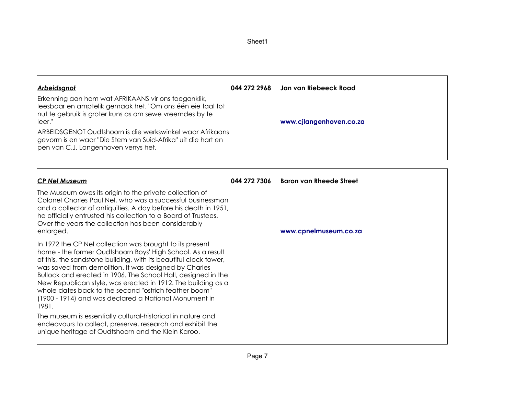|                                                                                                                               | 044 272 2968 Jan van Riebeeck Road<br>www.cjlangenhoven.co.za |
|-------------------------------------------------------------------------------------------------------------------------------|---------------------------------------------------------------|
| ARBEIDSGENOT Oudtshoorn is die werkswinkel waar Afrikaans                                                                     |                                                               |
| 044 272 7306                                                                                                                  | <b>Baron van Rheede Street</b>                                |
| Colonel Charles Paul Nel, who was a successful businessman<br>and a collector of antiquities. A day before his death in 1951, |                                                               |
| Bullock and erected in 1906. The School Hall, designed in the<br>New Republican style, was erected in 1912. The building as a | www.cpnelmuseum.co.za                                         |
|                                                                                                                               |                                                               |